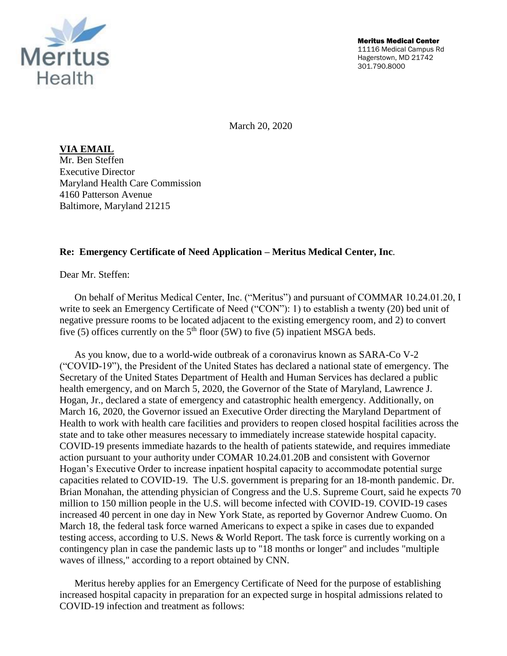

March 20, 2020

**VIA EMAIL** Mr. Ben Steffen Executive Director Maryland Health Care Commission 4160 Patterson Avenue Baltimore, Maryland 21215

## **Re: Emergency Certificate of Need Application – Meritus Medical Center, Inc***.*

Dear Mr. Steffen:

On behalf of Meritus Medical Center, Inc. ("Meritus") and pursuant of COMMAR 10.24.01.20, I write to seek an Emergency Certificate of Need ("CON"): 1) to establish a twenty (20) bed unit of negative pressure rooms to be located adjacent to the existing emergency room, and 2) to convert five (5) offices currently on the  $5<sup>th</sup>$  floor (5W) to five (5) inpatient MSGA beds.

As you know, due to a world-wide outbreak of a coronavirus known as SARA-Co V-2 ("COVID-19"), the President of the United States has declared a national state of emergency. The Secretary of the United States Department of Health and Human Services has declared a public health emergency, and on March 5, 2020, the Governor of the State of Maryland, Lawrence J. Hogan, Jr., declared a state of emergency and catastrophic health emergency. Additionally, on March 16, 2020, the Governor issued an Executive Order directing the Maryland Department of Health to work with health care facilities and providers to reopen closed hospital facilities across the state and to take other measures necessary to immediately increase statewide hospital capacity. COVID-19 presents immediate hazards to the health of patients statewide, and requires immediate action pursuant to your authority under COMAR 10.24.01.20B and consistent with Governor Hogan's Executive Order to increase inpatient hospital capacity to accommodate potential surge capacities related to COVID-19. The U.S. government is preparing for an 18-month pandemic. Dr. Brian Monahan, the attending physician of Congress and the U.S. Supreme Court, said he expects 70 million to 150 million people in the U.S. will become infected with COVID-19. COVID-19 cases increased 40 percent in one day in New York State, as reported by Governor Andrew Cuomo. On March 18, the federal task force warned Americans to expect a spike in cases due to expanded testing access, according to U.S. News & World Report. The task force is currently working on a contingency plan in case the pandemic lasts up to "18 months or longer" and includes "multiple waves of illness," according to a report obtained by CNN.

Meritus hereby applies for an Emergency Certificate of Need for the purpose of establishing increased hospital capacity in preparation for an expected surge in hospital admissions related to COVID-19 infection and treatment as follows: